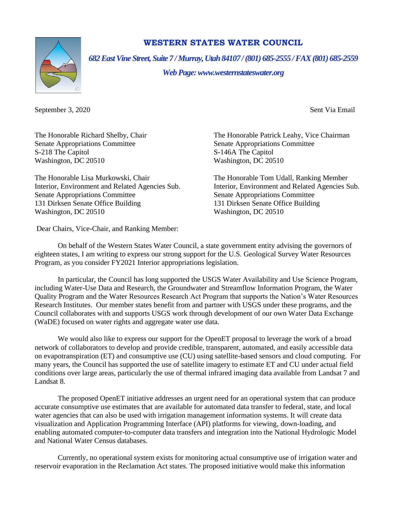

## **WESTERN STATES WATER COUNCIL**

*682 East Vine Street, Suite 7 / Murray, Utah 84107 / (801) 685-2555 / FAX (801) 685-2559*

*Web Page: www.westernstateswater.org*

September 3, 2020 September 3, 2020

Senate Appropriations Committee Senate Appropriations Committee S-218 The Capitol S-146A The Capitol Washington, DC 20510 Washington, DC 20510

The Honorable Lisa Murkowski, Chair The Honorable Tom Udall, Ranking Member Senate Appropriations Committee Senate Appropriations Committee 131 Dirksen Senate Office Building<br>
131 Dirksen Senate Office Building<br>
131 Dirksen Senate Office Building<br>
131 Dirksen Senate Office Building<br>
131 Dirksen Senate Office Building Washington, DC 20510

Dear Chairs, Vice-Chair, and Ranking Member:

The Honorable Richard Shelby, Chair The Honorable Patrick Leahy, Vice Chairman

Interior, Environment and Related Agencies Sub. Interior, Environment and Related Agencies Sub.

On behalf of the Western States Water Council, a state government entity advising the governors of eighteen states, I am writing to express our strong support for the U.S. Geological Survey Water Resources Program, as you consider FY2021 Interior appropriations legislation.

In particular, the Council has long supported the USGS Water Availability and Use Science Program, including Water-Use Data and Research, the Groundwater and Streamflow Information Program, the Water Quality Program and the Water Resources Research Act Program that supports the Nation's Water Resources Research Institutes. Our member states benefit from and partner with USGS under these programs, and the Council collaborates with and supports USGS work through development of our own Water Data Exchange (WaDE) focused on water rights and aggregate water use data.

We would also like to express our support for the OpenET proposal to leverage the work of a broad network of collaborators to develop and provide credible, transparent, automated, and easily accessible data on evapotranspiration (ET) and consumptive use (CU) using satellite-based sensors and cloud computing. For many years, the Council has supported the use of satellite imagery to estimate ET and CU under actual field conditions over large areas, particularly the use of thermal infrared imaging data available from Landsat 7 and Landsat 8.

The proposed OpenET initiative addresses an urgent need for an operational system that can produce accurate consumptive use estimates that are available for automated data transfer to federal, state, and local water agencies that can also be used with irrigation management information systems. It will create data visualization and Application Programming Interface (API) platforms for viewing, down-loading, and enabling automated computer-to-computer data transfers and integration into the National Hydrologic Model and National Water Census databases.

Currently, no operational system exists for monitoring actual consumptive use of irrigation water and reservoir evaporation in the Reclamation Act states. The proposed initiative would make this information